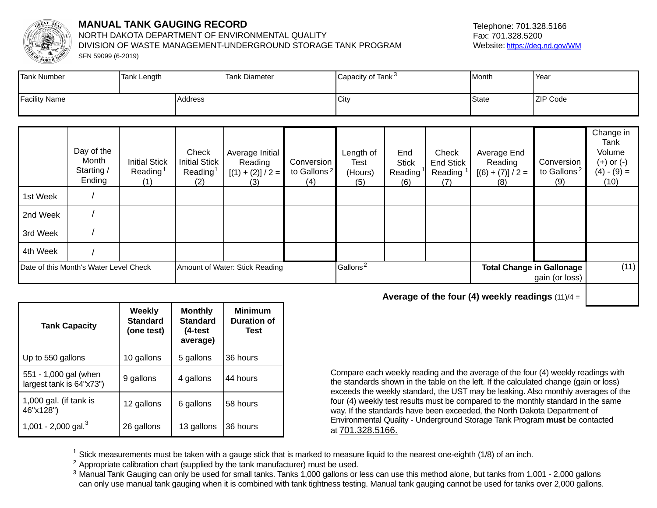

SFN 59099 (6-2019)

## **MANUAL TANK GAUGING RECORD**

NORTH DAKOTA DEPARTMENT OF ENVIRONMENTAL QUALITY

## DIVISION OF WASTE MANAGEMENT-UNDERGROUND STORAGE TANK PROGRAM

| <b>Tank Number</b>                     |                                             | Tank Length                                         |                                                              | <b>Tank Diameter</b>                                     |                                              | Capacity of Tank <sup>3</sup>       |                                                    |                                                   | Month                                                | Year                                         |                                                                        |
|----------------------------------------|---------------------------------------------|-----------------------------------------------------|--------------------------------------------------------------|----------------------------------------------------------|----------------------------------------------|-------------------------------------|----------------------------------------------------|---------------------------------------------------|------------------------------------------------------|----------------------------------------------|------------------------------------------------------------------------|
| <b>Facility Name</b>                   |                                             | Address                                             |                                                              |                                                          | City                                         |                                     |                                                    | State                                             | <b>ZIP Code</b>                                      |                                              |                                                                        |
|                                        |                                             |                                                     |                                                              |                                                          |                                              |                                     |                                                    |                                                   |                                                      |                                              |                                                                        |
|                                        | Day of the<br>Month<br>Starting /<br>Ending | <b>Initial Stick</b><br>Reading <sup>1</sup><br>(1) | Check<br><b>Initial Stick</b><br>Reading <sup>1</sup><br>(2) | Average Initial<br>Reading<br>$[(1) + (2)] / 2 =$<br>(3) | Conversion<br>to Gallons <sup>2</sup><br>(4) | Length of<br>Test<br>(Hours)<br>(5) | End<br><b>Stick</b><br>Reading<br>(6)              | Check<br>End Stick<br>Reading <sup>1</sup><br>(7) | Average End<br>Reading<br>$[(6) + (7)] / 2 =$<br>(8) | Conversion<br>to Gallons <sup>2</sup><br>(9) | Change in<br>Tank<br>Volume<br>$(+)$ or $(-)$<br>$(4) - (9) =$<br>(10) |
| 1st Week                               |                                             |                                                     |                                                              |                                                          |                                              |                                     |                                                    |                                                   |                                                      |                                              |                                                                        |
| 2nd Week                               |                                             |                                                     |                                                              |                                                          |                                              |                                     |                                                    |                                                   |                                                      |                                              |                                                                        |
| 3rd Week                               |                                             |                                                     |                                                              |                                                          |                                              |                                     |                                                    |                                                   |                                                      |                                              |                                                                        |
| 4th Week                               |                                             |                                                     |                                                              |                                                          |                                              |                                     |                                                    |                                                   |                                                      |                                              |                                                                        |
| Date of this Month's Water Level Check |                                             |                                                     | Amount of Water: Stick Reading                               |                                                          | Gallons <sup>2</sup>                         |                                     | <b>Total Change in Gallonage</b><br>gain (or loss) |                                                   | (11)                                                 |                                              |                                                                        |

| <b>Tank Capacity</b>                              | Weekly<br><b>Standard</b><br>(one test) | <b>Monthly</b><br><b>Standard</b><br>(4-test<br>average) | <b>Minimum</b><br><b>Duration of</b><br><b>Test</b> |
|---------------------------------------------------|-----------------------------------------|----------------------------------------------------------|-----------------------------------------------------|
| Up to 550 gallons                                 | 10 gallons                              | 5 gallons                                                | 36 hours                                            |
| 551 - 1,000 gal (when<br>largest tank is 64"x73") | 9 gallons                               | 4 gallons                                                | 44 hours                                            |
| 1,000 gal. (if tank is<br>46"x128")               | 12 gallons                              | 6 gallons                                                | 58 hours                                            |
| 1,001 - 2,000 gal. <sup>3</sup>                   | 26 gallons                              | 13 gallons                                               | 36 hours                                            |

Average of the four (4) weekly readings  $(11)/4 =$ 

Compare each weekly reading and the average of the four (4) weekly readings with the standards shown in the table on the left. If the calculated change (gain or loss) exceeds the weekly standard, the UST may be leaking. Also monthly averages of the four (4) weekly test results must be compared to the monthly standard in the same way. If the standards have been exceeded, the North Dakota Department of Environmental Quality - Underground Storage Tank Program must be contacted at 701.328.5166.

 $1$  Stick measurements must be taken with a gauge stick that is marked to measure liquid to the nearest one-eighth (1/8) of an inch.

<sup>2</sup> Appropriate calibration chart (supplied by the tank manufacturer) must be used.

<sup>3</sup> Manual Tank Gauging can only be used for small tanks. Tanks 1,000 gallons or less can use this method alone, but tanks from 1,001 - 2,000 gallons can only use manual tank gauging when it is combined with tank tightness testing. Manual tank gauging cannot be used for tanks over 2,000 gallons.